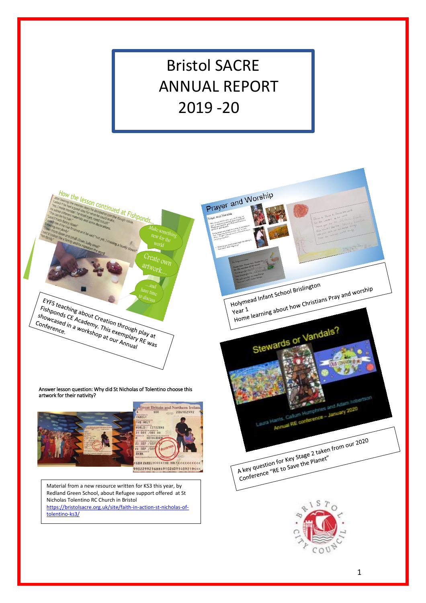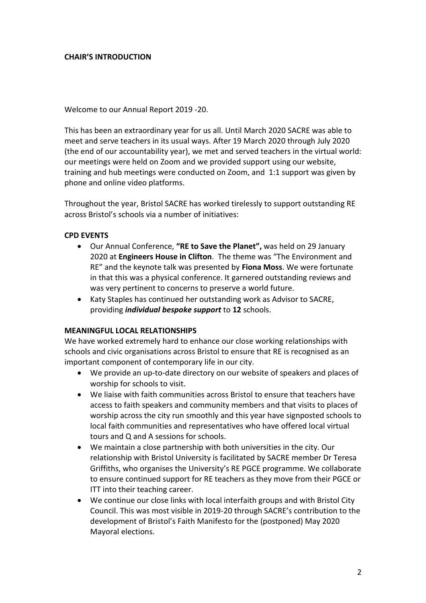# **CHAIR'S INTRODUCTION**

Welcome to our Annual Report 2019 -20.

This has been an extraordinary year for us all. Until March 2020 SACRE was able to meet and serve teachers in its usual ways. After 19 March 2020 through July 2020 (the end of our accountability year), we met and served teachers in the virtual world: our meetings were held on Zoom and we provided support using our website, training and hub meetings were conducted on Zoom, and 1:1 support was given by phone and online video platforms.

Throughout the year, Bristol SACRE has worked tirelessly to support outstanding RE across Bristol's schools via a number of initiatives:

# **CPD EVENTS**

- Our Annual Conference, **"RE to Save the Planet",** was held on 29 January 2020 at **Engineers House in Clifton**. The theme was "The Environment and RE" and the keynote talk was presented by **Fiona Moss**. We were fortunate in that this was a physical conference. It garnered outstanding reviews and was very pertinent to concerns to preserve a world future.
- Katy Staples has continued her outstanding work as Advisor to SACRE, providing *individual bespoke support* to **12** schools.

### **MEANINGFUL LOCAL RELATIONSHIPS**

We have worked extremely hard to enhance our close working relationships with schools and civic organisations across Bristol to ensure that RE is recognised as an important component of contemporary life in our city.

- We provide an up-to-date directory on our website of speakers and places of worship for schools to visit.
- We liaise with faith communities across Bristol to ensure that teachers have access to faith speakers and community members and that visits to places of worship across the city run smoothly and this year have signposted schools to local faith communities and representatives who have offered local virtual tours and Q and A sessions for schools.
- We maintain a close partnership with both universities in the city. Our relationship with Bristol University is facilitated by SACRE member Dr Teresa Griffiths, who organises the University's RE PGCE programme. We collaborate to ensure continued support for RE teachers as they move from their PGCE or ITT into their teaching career.
- We continue our close links with local interfaith groups and with Bristol City Council. This was most visible in 2019-20 through SACRE's contribution to the development of Bristol's Faith Manifesto for the (postponed) May 2020 Mayoral elections.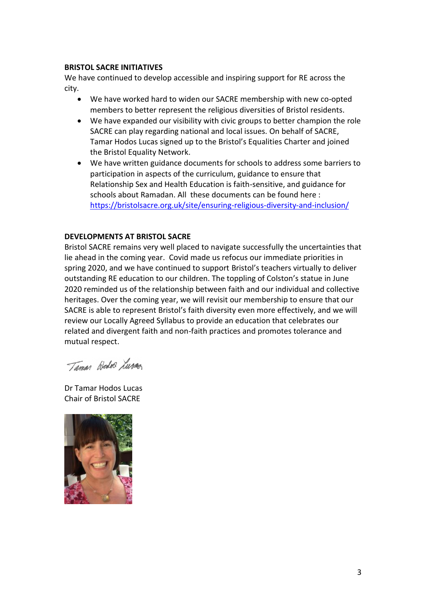### **BRISTOL SACRE INITIATIVES**

We have continued to develop accessible and inspiring support for RE across the city.

- We have worked hard to widen our SACRE membership with new co-opted members to better represent the religious diversities of Bristol residents.
- We have expanded our visibility with civic groups to better champion the role SACRE can play regarding national and local issues. On behalf of SACRE, Tamar Hodos Lucas signed up to the Bristol's Equalities Charter and joined the Bristol Equality Network.
- We have written guidance documents for schools to address some barriers to participation in aspects of the curriculum, guidance to ensure that Relationship Sex and Health Education is faith-sensitive, and guidance for schools about Ramadan. All these documents can be found here : <https://bristolsacre.org.uk/site/ensuring-religious-diversity-and-inclusion/>

# **DEVELOPMENTS AT BRISTOL SACRE**

Bristol SACRE remains very well placed to navigate successfully the uncertainties that lie ahead in the coming year. Covid made us refocus our immediate priorities in spring 2020, and we have continued to support Bristol's teachers virtually to deliver outstanding RE education to our children. The toppling of Colston's statue in June 2020 reminded us of the relationship between faith and our individual and collective heritages. Over the coming year, we will revisit our membership to ensure that our SACRE is able to represent Bristol's faith diversity even more effectively, and we will review our Locally Agreed Syllabus to provide an education that celebrates our related and divergent faith and non-faith practices and promotes tolerance and mutual respect.

Taman Wedo Luras

Dr Tamar Hodos Lucas Chair of Bristol SACRE

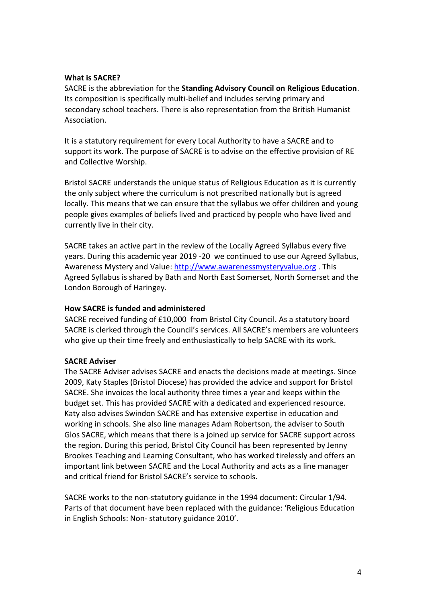### **What is SACRE?**

SACRE is the abbreviation for the **Standing Advisory Council on Religious Education**. Its composition is specifically multi-belief and includes serving primary and secondary school teachers. There is also representation from the British Humanist Association.

It is a statutory requirement for every Local Authority to have a SACRE and to support its work. The purpose of SACRE is to advise on the effective provision of RE and Collective Worship.

Bristol SACRE understands the unique status of Religious Education as it is currently the only subject where the curriculum is not prescribed nationally but is agreed locally. This means that we can ensure that the syllabus we offer children and young people gives examples of beliefs lived and practiced by people who have lived and currently live in their city.

SACRE takes an active part in the review of the Locally Agreed Syllabus every five years. During this academic year 2019 -20 we continued to use our Agreed Syllabus, Awareness Mystery and Value: [http://www.awarenessmysteryvalue.org](http://www.awarenessmysteryvalue.org/) . This Agreed Syllabus is shared by Bath and North East Somerset, North Somerset and the London Borough of Haringey.

# **How SACRE is funded and administered**

SACRE received funding of £10,000 from Bristol City Council. As a statutory board SACRE is clerked through the Council's services. All SACRE's members are volunteers who give up their time freely and enthusiastically to help SACRE with its work.

# **SACRE Adviser**

The SACRE Adviser advises SACRE and enacts the decisions made at meetings. Since 2009, Katy Staples (Bristol Diocese) has provided the advice and support for Bristol SACRE. She invoices the local authority three times a year and keeps within the budget set. This has provided SACRE with a dedicated and experienced resource. Katy also advises Swindon SACRE and has extensive expertise in education and working in schools. She also line manages Adam Robertson, the adviser to South Glos SACRE, which means that there is a joined up service for SACRE support across the region. During this period, Bristol City Council has been represented by Jenny Brookes Teaching and Learning Consultant, who has worked tirelessly and offers an important link between SACRE and the Local Authority and acts as a line manager and critical friend for Bristol SACRE's service to schools.

SACRE works to the non-statutory guidance in the 1994 document: Circular 1/94. Parts of that document have been replaced with the guidance: 'Religious Education in English Schools: Non- statutory guidance 2010'.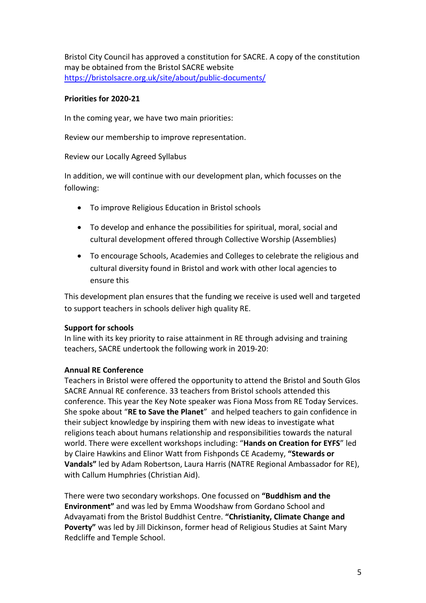Bristol City Council has approved a constitution for SACRE. A copy of the constitution may be obtained from the Bristol SACRE website <https://bristolsacre.org.uk/site/about/public-documents/>

# **Priorities for 2020-21**

In the coming year, we have two main priorities:

Review our membership to improve representation.

Review our Locally Agreed Syllabus

In addition, we will continue with our development plan, which focusses on the following:

- To improve Religious Education in Bristol schools
- To develop and enhance the possibilities for spiritual, moral, social and cultural development offered through Collective Worship (Assemblies)
- To encourage Schools, Academies and Colleges to celebrate the religious and cultural diversity found in Bristol and work with other local agencies to ensure this

This development plan ensures that the funding we receive is used well and targeted to support teachers in schools deliver high quality RE.

# **Support for schools**

In line with its key priority to raise attainment in RE through advising and training teachers, SACRE undertook the following work in 2019-20:

# **Annual RE Conference**

Teachers in Bristol were offered the opportunity to attend the Bristol and South Glos SACRE Annual RE conference. 33 teachers from Bristol schools attended this conference. This year the Key Note speaker was Fiona Moss from RE Today Services. She spoke about "**RE to Save the Planet**" and helped teachers to gain confidence in their subject knowledge by inspiring them with new ideas to investigate what religions teach about humans relationship and responsibilities towards the natural world. There were excellent workshops including: "**Hands on Creation for EYFS**" led by Claire Hawkins and Elinor Watt from Fishponds CE Academy, **"Stewards or Vandals"** led by Adam Robertson, Laura Harris (NATRE Regional Ambassador for RE), with Callum Humphries (Christian Aid).

There were two secondary workshops. One focussed on **"Buddhism and the Environment"** and was led by Emma Woodshaw from Gordano School and Advayamati from the Bristol Buddhist Centre. **"Christianity, Climate Change and Poverty"** was led by Jill Dickinson, former head of Religious Studies at Saint Mary Redcliffe and Temple School.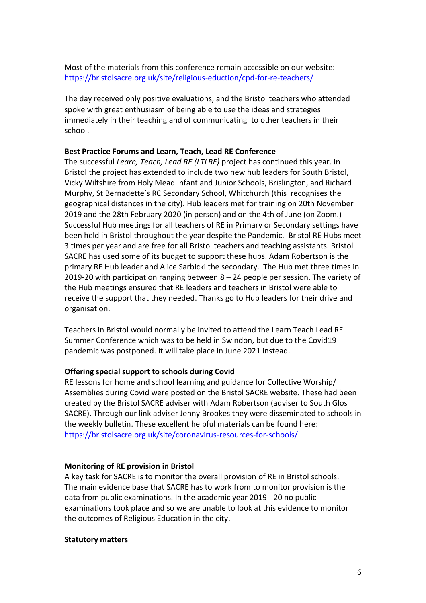Most of the materials from this conference remain accessible on our website: <https://bristolsacre.org.uk/site/religious-eduction/cpd-for-re-teachers/>

The day received only positive evaluations, and the Bristol teachers who attended spoke with great enthusiasm of being able to use the ideas and strategies immediately in their teaching and of communicating to other teachers in their school.

### **Best Practice Forums and Learn, Teach, Lead RE Conference**

The successful *Learn, Teach, Lead RE (LTLRE)* project has continued this year. In Bristol the project has extended to include two new hub leaders for South Bristol, Vicky Wiltshire from Holy Mead Infant and Junior Schools, Brislington, and Richard Murphy, St Bernadette's RC Secondary School, Whitchurch (this recognises the geographical distances in the city). Hub leaders met for training on 20th November 2019 and the 28th February 2020 (in person) and on the 4th of June (on Zoom.) Successful Hub meetings for all teachers of RE in Primary or Secondary settings have been held in Bristol throughout the year despite the Pandemic. Bristol RE Hubs meet 3 times per year and are free for all Bristol teachers and teaching assistants. Bristol SACRE has used some of its budget to support these hubs. Adam Robertson is the primary RE Hub leader and Alice Sarbicki the secondary. The Hub met three times in 2019-20 with participation ranging between 8 – 24 people per session. The variety of the Hub meetings ensured that RE leaders and teachers in Bristol were able to receive the support that they needed. Thanks go to Hub leaders for their drive and organisation.

Teachers in Bristol would normally be invited to attend the Learn Teach Lead RE Summer Conference which was to be held in Swindon, but due to the Covid19 pandemic was postponed. It will take place in June 2021 instead.

### **Offering special support to schools during Covid**

RE lessons for home and school learning and guidance for Collective Worship/ Assemblies during Covid were posted on the Bristol SACRE website. These had been created by the Bristol SACRE adviser with Adam Robertson (adviser to South Glos SACRE). Through our link adviser Jenny Brookes they were disseminated to schools in the weekly bulletin. These excellent helpful materials can be found here: <https://bristolsacre.org.uk/site/coronavirus-resources-for-schools/>

### **Monitoring of RE provision in Bristol**

A key task for SACRE is to monitor the overall provision of RE in Bristol schools. The main evidence base that SACRE has to work from to monitor provision is the data from public examinations. In the academic year 2019 - 20 no public examinations took place and so we are unable to look at this evidence to monitor the outcomes of Religious Education in the city.

#### **Statutory matters**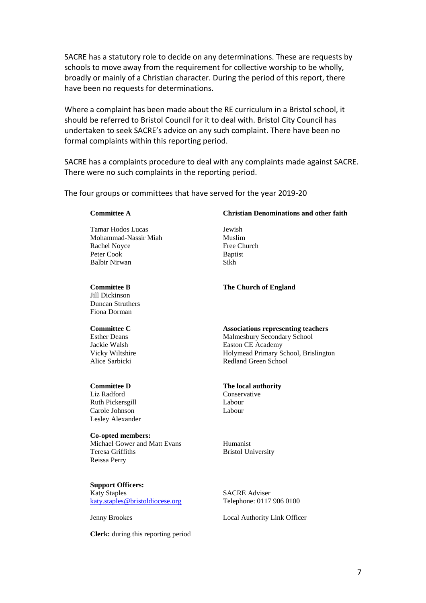SACRE has a statutory role to decide on any determinations. These are requests by schools to move away from the requirement for collective worship to be wholly, broadly or mainly of a Christian character. During the period of this report, there have been no requests for determinations.

Where a complaint has been made about the RE curriculum in a Bristol school, it should be referred to Bristol Council for it to deal with. Bristol City Council has undertaken to seek SACRE's advice on any such complaint. There have been no formal complaints within this reporting period.

SACRE has a complaints procedure to deal with any complaints made against SACRE. There were no such complaints in the reporting period.

The four groups or committees that have served for the year 2019-20

#### **Committee A**

Tamar Hodos Lucas Mohammad-Nassir Miah Rachel Noyce Peter Cook Balbir Nirwan

#### **Committee B**

Jill Dickinson Duncan Struthers Fiona Dorman

#### **Committee C**

Esther Deans Jackie Walsh Vicky Wiltshire Alice Sarbicki

#### **Committee D**

Liz Radford Ruth Pickersgill Carole Johnson Lesley Alexander

# **Co-opted members:**

Michael Gower and Matt Evans Teresa Griffiths Reissa Perry

**Support Officers:** Katy Staples [katy.staples@bristoldiocese.org](mailto:katy.staples@bristoldiocese.org)

Jenny Brookes

**Clerk:** during this reporting period

#### **Christian Denominations and other faith**

Jewish Muslim Free Church Baptist Sikh

**The Church of England**

#### **Associations representing teachers** Malmesbury Secondary School

Easton CE Academy Holymead Primary School, Brislington Redland Green School

#### **The local authority**

Conservative Labour Labour

Humanist Bristol University

SACRE Adviser Telephone: 0117 906 0100

Local Authority Link Officer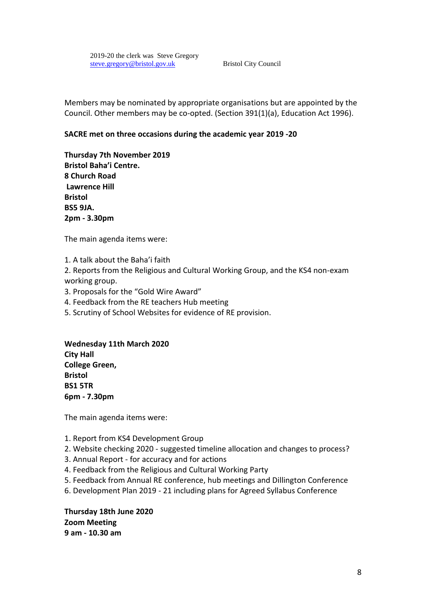Members may be nominated by appropriate organisations but are appointed by the Council. Other members may be co-opted. (Section 391(1)(a), Education Act 1996).

# **SACRE met on three occasions during the academic year 2019 -20**

**Thursday 7th November 2019 Bristol Baha'i Centre. 8 Church Road Lawrence Hill Bristol BS5 9JA. 2pm - 3.30pm**

The main agenda items were:

1. A talk about the Baha'i faith

2. Reports from the Religious and Cultural Working Group, and the KS4 non-exam working group.

- 3. Proposals for the "Gold Wire Award"
- 4. Feedback from the RE teachers Hub meeting
- 5. Scrutiny of School Websites for evidence of RE provision.

**Wednesday 11th March 2020 City Hall College Green, Bristol BS1 5TR 6pm - 7.30pm**

The main agenda items were:

- 1. Report from KS4 Development Group
- 2. Website checking 2020 suggested timeline allocation and changes to process?
- 3. Annual Report for accuracy and for actions
- 4. Feedback from the Religious and Cultural Working Party
- 5. Feedback from Annual RE conference, hub meetings and Dillington Conference
- 6. Development Plan 2019 21 including plans for Agreed Syllabus Conference

**Thursday 18th June 2020 Zoom Meeting 9 am - 10.30 am**